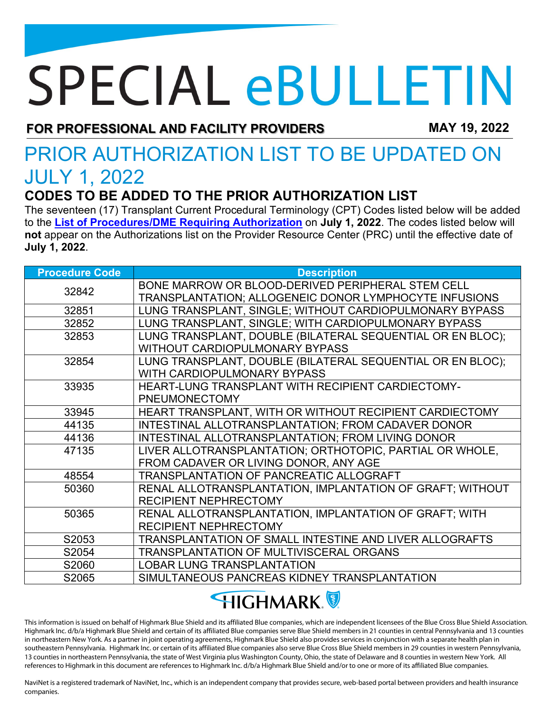## **SPECIAL eBULLETIN**

**FOR PROFESSIONAL AND FACILITY PROVIDERS MAY 19, 2022**

## PRIOR AUTHORIZATION LIST TO BE UPDATED ON JULY 1, 2022

## **CODES TO BE ADDED TO THE PRIOR AUTHORIZATION LIST**

The seventeen (17) Transplant Current Procedural Terminology (CPT) Codes listed below will be added to the **[List of Procedures/DME Requiring Authorization](https://content.highmarkprc.com/Files/ClaimsPaymentReimb/Proc-Requiring-Auth-list.pdf)** on **July 1, 2022**. The codes listed below will **not** appear on the Authorizations list on the Provider Resource Center (PRC) until the effective date of **July 1, 2022**.

| <b>Procedure Code</b> | <b>Description</b>                                         |
|-----------------------|------------------------------------------------------------|
| 32842                 | BONE MARROW OR BLOOD-DERIVED PERIPHERAL STEM CELL          |
|                       | TRANSPLANTATION; ALLOGENEIC DONOR LYMPHOCYTE INFUSIONS     |
| 32851                 | LUNG TRANSPLANT, SINGLE; WITHOUT CARDIOPULMONARY BYPASS    |
| 32852                 | LUNG TRANSPLANT, SINGLE; WITH CARDIOPULMONARY BYPASS       |
| 32853                 | LUNG TRANSPLANT, DOUBLE (BILATERAL SEQUENTIAL OR EN BLOC); |
|                       | WITHOUT CARDIOPULMONARY BYPASS                             |
| 32854                 | LUNG TRANSPLANT, DOUBLE (BILATERAL SEQUENTIAL OR EN BLOC); |
|                       | WITH CARDIOPULMONARY BYPASS                                |
| 33935                 | HEART-LUNG TRANSPLANT WITH RECIPIENT CARDIECTOMY-          |
|                       | <b>PNEUMONECTOMY</b>                                       |
| 33945                 | HEART TRANSPLANT, WITH OR WITHOUT RECIPIENT CARDIECTOMY    |
| 44135                 | INTESTINAL ALLOTRANSPLANTATION; FROM CADAVER DONOR         |
| 44136                 | INTESTINAL ALLOTRANSPLANTATION; FROM LIVING DONOR          |
| 47135                 | LIVER ALLOTRANSPLANTATION; ORTHOTOPIC, PARTIAL OR WHOLE,   |
|                       | FROM CADAVER OR LIVING DONOR, ANY AGE                      |
| 48554                 | TRANSPLANTATION OF PANCREATIC ALLOGRAFT                    |
| 50360                 | RENAL ALLOTRANSPLANTATION, IMPLANTATION OF GRAFT; WITHOUT  |
|                       | <b>RECIPIENT NEPHRECTOMY</b>                               |
| 50365                 | RENAL ALLOTRANSPLANTATION, IMPLANTATION OF GRAFT; WITH     |
|                       | <b>RECIPIENT NEPHRECTOMY</b>                               |
| S2053                 | TRANSPLANTATION OF SMALL INTESTINE AND LIVER ALLOGRAFTS    |
| S2054                 | <b>TRANSPLANTATION OF MULTIVISCERAL ORGANS</b>             |
| S2060                 | <b>LOBAR LUNG TRANSPLANTATION</b>                          |
| S2065                 | SIMULTANEOUS PANCREAS KIDNEY TRANSPLANTATION               |

**HIGHMARK** 

This information is issued on behalf of Highmark Blue Shield and its affiliated Blue companies, which are independent licensees of the Blue Cross Blue Shield Association. Highmark Inc. d/b/a Highmark Blue Shield and certain of its affiliated Blue companies serve Blue Shield members in 21 counties in central Pennsylvania and 13 counties in northeastern New York. As a partner in joint operating agreements, Highmark Blue Shield also provides services in conjunction with a separate health plan in southeastern Pennsylvania. Highmark Inc. or certain of its affiliated Blue companies also serve Blue Cross Blue Shield members in 29 counties in western Pennsylvania, 13 counties in northeastern Pennsylvania, the state of West Virginia plus Washington County, Ohio, the state of Delaware and 8 counties in western New York. All references to Highmark in this document are references to Highmark Inc. d/b/a Highmark Blue Shield and/or to one or more of its affiliated Blue companies.

NaviNet is a registered trademark of NaviNet, Inc., which is an independent company that provides secure, web-based portal between providers and health insurance companies.